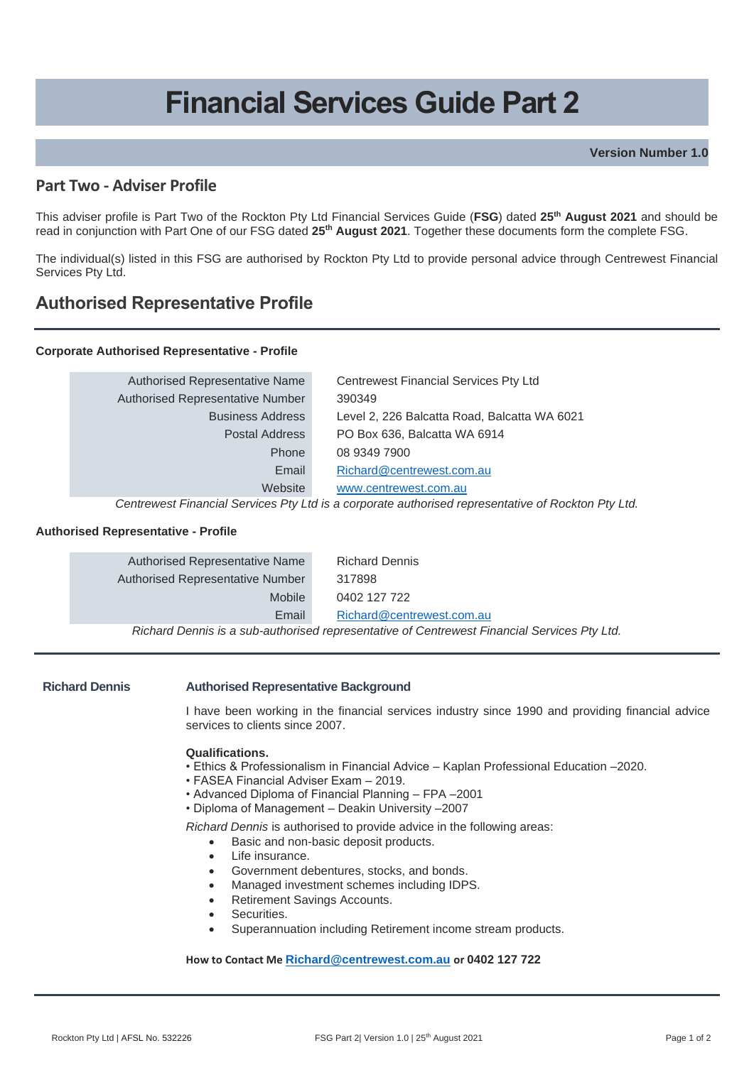# **Financial Services Guide Part 2**

**Version Number 1.0**

### **Part Two - Adviser Profile**

This adviser profile is Part Two of the Rockton Pty Ltd Financial Services Guide (**FSG**) dated **25th August 2021** and should be read in conjunction with Part One of our FSG dated **25th August 2021**. Together these documents form the complete FSG.

The individual(s) listed in this FSG are authorised by Rockton Pty Ltd to provide personal advice through Centrewest Financial Services Pty Ltd.

## **Authorised Representative Profile**

#### **Corporate Authorised Representative - Profile**

| Authorised Representative Name   | <b>Centrewest Financial Services Pty Ltd</b> |
|----------------------------------|----------------------------------------------|
| Authorised Representative Number | 390349                                       |
| <b>Business Address</b>          | Level 2, 226 Balcatta Road, Balcatta WA 6021 |
| Postal Address                   | PO Box 636, Balcatta WA 6914                 |
| Phone                            | 08 9349 7900                                 |
| Email                            | Richard@centrewest.com.au                    |
| Website                          | www.centrewest.com.au                        |

*Centrewest Financial Services Pty Ltd is a corporate authorised representative of Rockton Pty Ltd.*

#### **Authorised Representative - Profile**

| Authorised Representative Name   | <b>Richard Dennis</b>                                                                       |
|----------------------------------|---------------------------------------------------------------------------------------------|
| Authorised Representative Number | 317898                                                                                      |
| Mobile                           | 0402 127 722                                                                                |
| Email                            | Richard@centrewest.com.au                                                                   |
|                                  | Richard Dennis is a sub-authorised representative of Centrewest Financial Services Pty Ltd. |

#### **Richard Dennis Authorised Representative Background**

I have been working in the financial services industry since 1990 and providing financial advice services to clients since 2007.

#### **Qualifications.**

- Ethics & Professionalism in Financial Advice Kaplan Professional Education –2020.
- FASEA Financial Adviser Exam 2019.
- Advanced Diploma of Financial Planning FPA –2001
- Diploma of Management Deakin University –2007

*Richard Dennis* is authorised to provide advice in the following areas:

- Basic and non-basic deposit products.
- Life insurance.
- Government debentures, stocks, and bonds.
- Managed investment schemes including IDPS.
- Retirement Savings Accounts.
- Securities.
- Superannuation including Retirement income stream products.

#### **How to Contact Me [Richard@centrewest.com.au](mailto:Richard@centrewest.com.au) or 0402 127 722**